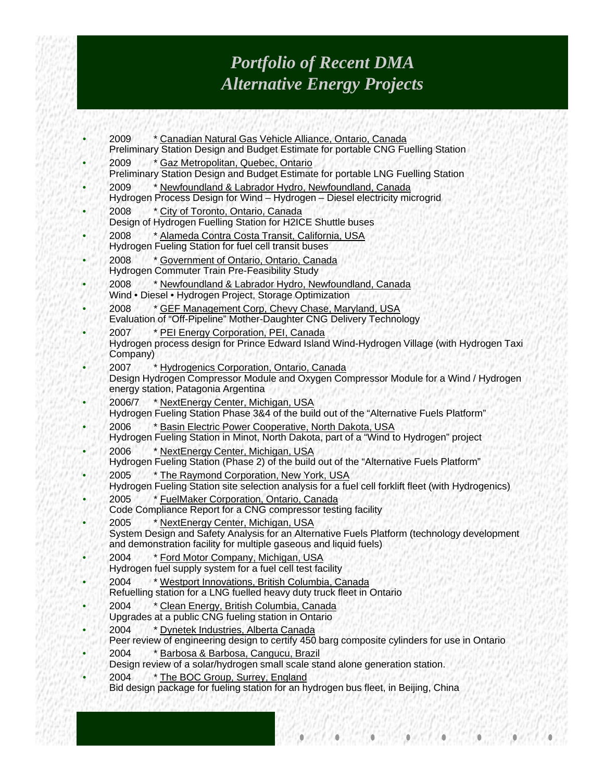## *Portfolio of Recent DMA Alternative Energy Projects*

- 2009 \* Canadian Natural Gas Vehicle Alliance, Ontario, Canada Preliminary Station Design and Budget Estimate for portable CNG Fuelling Station
- 2009 \* Gaz Metropolitan, Quebec, Ontario
- Preliminary Station Design and Budget Estimate for portable LNG Fuelling Station
- 2009 \* Newfoundland & Labrador Hydro, Newfoundland, Canada Hydrogen Process Design for Wind – Hydrogen – Diesel electricity microgrid
- 2008 \* City of Toronto, Ontario, Canada Design of Hydrogen Fuelling Station for H2ICE Shuttle buses
- 2008 \* Alameda Contra Costa Transit, California, USA Hydrogen Fueling Station for fuel cell transit buses
- 2008 \* Government of Ontario, Ontario, Canada Hydrogen Commuter Train Pre-Feasibility Study
- 2008 \* Newfoundland & Labrador Hydro, Newfoundland, Canada Wind • Diesel • Hydrogen Project, Storage Optimization
- 2008 \* GEF Management Corp, Chevy Chase, Maryland, USA Evaluation of "Off-Pipeline" Mother-Daughter CNG Delivery Technology
- 2007 \* PEI Energy Corporation, PEI, Canada Hydrogen process design for Prince Edward Island Wind-Hydrogen Village (with Hydrogen Taxi Company)
- 2007 \* Hydrogenics Corporation, Ontario, Canada Design Hydrogen Compressor Module and Oxygen Compressor Module for a Wind / Hydrogen energy station, Patagonia Argentina
- 2006/7 \* NextEnergy Center, Michigan, USA Hydrogen Fueling Station Phase 3&4 of the build out of the "Alternative Fuels Platform"
- 2006 \* Basin Electric Power Cooperative, North Dakota, USA Hydrogen Fueling Station in Minot, North Dakota, part of a "Wind to Hydrogen" project
- 2006 \* NextEnergy Center, Michigan, USA
- Hydrogen Fueling Station (Phase 2) of the build out of the "Alternative Fuels Platform"
- 2005 \* The Raymond Corporation, New York, USA Hydrogen Fueling Station site selection analysis for a fuel cell forklift fleet (with Hydrogenics)
- 2005 \* FuelMaker Corporation, Ontario, Canada
- Code Compliance Report for a CNG compressor testing facility
- 2005 \* NextEnergy Center, Michigan, USA System Design and Safety Analysis for an Alternative Fuels Platform (technology development and demonstration facility for multiple gaseous and liquid fuels)
- 2004 \* Ford Motor Company, Michigan, USA Hydrogen fuel supply system for a fuel cell test facility
- 2004 \* Westport Innovations, British Columbia, Canada Refuelling station for a LNG fuelled heavy duty truck fleet in Ontario
- 2004 \* Clean Energy, British Columbia, Canada Upgrades at a public CNG fueling station in Ontario
- 2004 \* Dynetek Industries, Alberta Canada
- Peer review of engineering design to certify 450 barg composite cylinders for use in Ontario

٥

è

۵

 $\bullet$ 

- 2004 \* Barbosa & Barbosa, Cangucu, Brazil Design review of a solar/hydrogen small scale stand alone generation station.
	- 2004 \* The BOC Group, Surrey, England Bid design package for fueling station for an hydrogen bus fleet, in Beijing, China